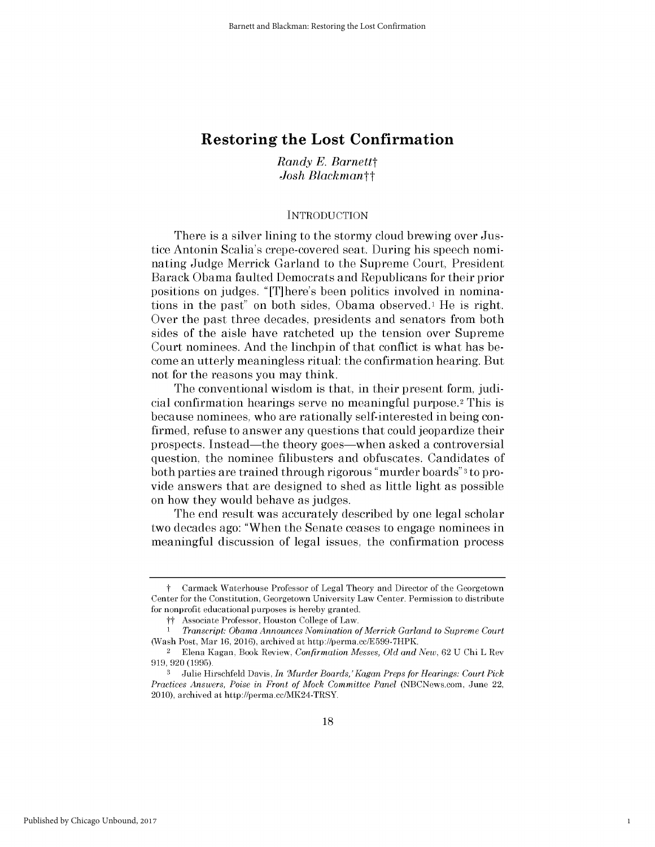# **Restoring the Lost Confirmation**

*Randy E. Barnettt Josh Blackmantt*

#### **INTRODUCTION**

There is a silver lining to the stormy cloud brewing over Justice Antonin Scalia's crepe-covered seat. During his speech nominating Judge Merrick Garland to the Supreme Court, President Barack Obama faulted Democrats and Republicans for their prior positions on judges. "[T]here's been politics involved in nominations in the past" on both sides, Obama observed.<sup>1</sup> He is right. Over the past three decades, presidents and senators from both sides of the aisle have ratcheted up the tension over Supreme Court nominees. And the linchpin of that conflict is what has become an utterly meaningless ritual: the confirmation hearing. But not for the reasons you may think.

The conventional wisdom is that, in their present form, judicial confirmation hearings serve no meaningful purpose. <sup>2</sup>This **is** because nominees, who are rationally self-interested in being confirmed, refuse to answer any questions that could jeopardize their prospects. Instead-the theory goes-when asked a controversial question, the nominee filibusters and obfuscates. Candidates of both parties are trained through rigorous "murder boards"3 to provide answers that are designed to shed as little light as possible on how they would behave as judges.

The end result was accurately described **by** one legal scholar two decades ago: "When the Senate ceases to engage nominees in meaningful discussion of legal issues, the confirmation process

1

t Carmack Waterhouse Professor of Legal Theory and Director of the Georgetown Center for the Constitution, Georgetown University Law Center. Permission to distribute for nonprofit educational purposes is hereby granted.

tt Associate Professor, Houston College of Law.

<sup>1</sup> *Transcript: Obama Announces Nomination of Merrick Garland to Supreme Court* (Wash Post, Mar 16, 2016), archived at http://perma.cc/E599-7HPK.

<sup>2</sup>Elena Kagan, Book Review, *Confirmation Messes, Old and New,* 62 **U** Chi L Rev **919, 920 (1995).**

**<sup>3</sup>**Julie Hirschfeld Davis, *In Murder Boards,'Kagan Preps for Hearings: Court Pick Practices Answers, Poise in Front of Mock Committee Panel* (NBCNews.com, June 22, **2010),** archived at http://perma.cc/MK24-TRSY.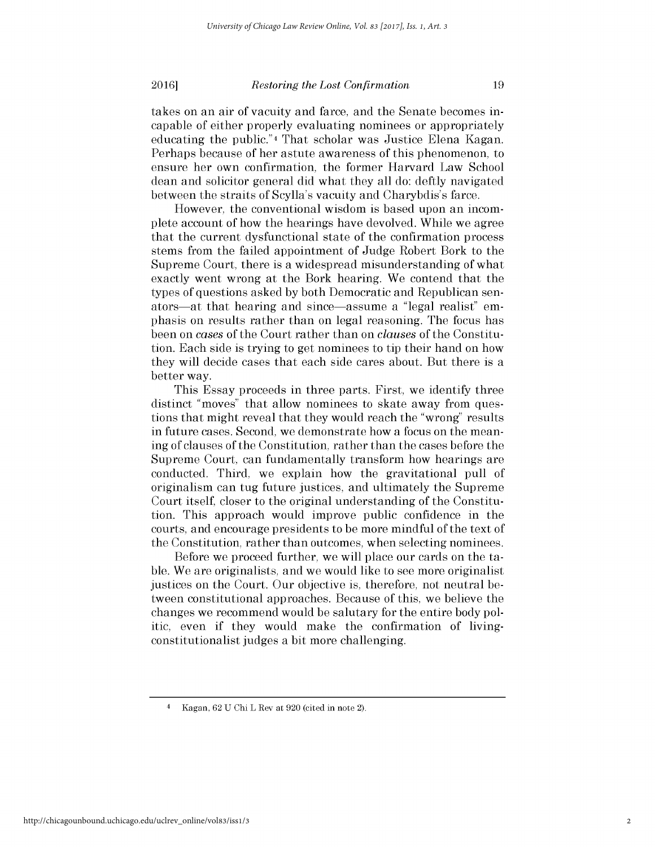**2016** *Restoring the Lost Confirmation* 19

takes on an air of vacuity and farce, and the Senate becomes incapable of either properly evaluating nominees or appropriately educating the public."4 That scholar was Justice Elena Kagan. Perhaps because of her astute awareness of this phenomenon, to ensure her own confirmation, the former Harvard Law School dean and solicitor general **did** what they all do: deftly navigated between the straits of Scylla's vacuity and Charybdis's farce.

However, the conventional wisdom is based upon an incomplete account of how the hearings have devolved. While we agree that the current dysfunctional state of the confirmation process stems from the failed appointment of Judge Robert Bork to the Supreme Court, there is a widespread misunderstanding of what exactly went wrong at the Bork hearing. We contend that the types of questions asked **by** both Democratic and Republican senators-at that hearing and since-assume a "legal realist" emphasis on results rather than on legal reasoning. The focus has been on *cases* of the Court rather than on *clauses* of the Constitution. Each side is trying to get nominees to tip their hand on how they will decide cases that each side cares about. But there is a better way.

This Essay proceeds in three parts. First, we identify three distinct "moves" that allow nominees to skate away from questions that might reveal that they would reach the "wrong" results in future cases. Second, we demonstrate how a focus on the meaning of clauses of the Constitution, rather than the cases before the Supreme Court, can fundamentally transform how hearings are conducted. Third, we explain how the gravitational pull of originalism can tug future justices, and ultimately the Supreme Court itself, closer to the original understanding of the Constitution. This approach would improve public confidence in the courts, and encourage presidents to be more mindful of the text of the Constitution, rather than outcomes, when selecting nominees.

Before we proceed further, we will place our cards on the table. We are originalists, and we would like to see more originalist justices on the Court. Our objective is, therefore, not neutral between constitutional approaches. Because of this, we believe the changes we recommend would be salutary for the entire body politic, even **if** they would make the confirmation of livingconstitutionalist judges a bit more challenging.

<sup>4</sup>Kagan, 62 **U** Chi L Rev at **920** (cited in note 2).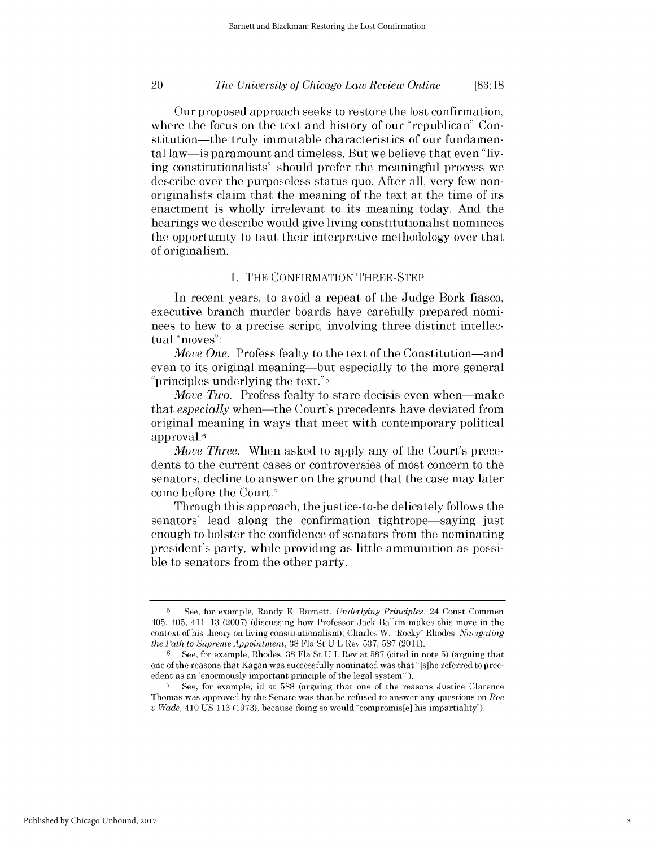# *The University of Chicago Law Review Online* 20 **[83:18**

Our proposed approach seeks to restore the lost confirmation, where the focus on the text and history of our "republican" Constitution—the truly immutable characteristics of our fundamental law-is paramount and timeless. But we believe that even **"liv**ing constitutionalists" should prefer the meaningful process we describe over the purposeless status quo. After all, very few nonoriginalists claim that the meaning of the text at the time of its enactment is wholly irrelevant to its meaning today. And the hearings we describe would give living constitutionalist nominees the opportunity to taut their interpretive methodology over that of originalism.

# **I.** THE **CONFIRMATION** THREE-STEP

In recent years, to avoid a repeat of the Judge Bork fiasco, executive branch murder boards have carefully prepared nominees to hew to a precise script, involving three distinct intellectual "moves":

*Move One.* Profess fealty to the text of the Constitution-and even to its original meaning-but especially to the more general "principles underlying the text."5

*Move Two.* Profess fealty to stare decisis even when—make *that especially* when-the Court's precedents have deviated from original meaning in ways that meet with contemporary political approval.6

*Move Three.* When asked to apply any of the Court's precedents to the current cases or controversies of most concern to the senators, decline to answer on the ground that the case may later come before the Court.7

Through this approach, the justice-to-be delicately follows the senators' lead along the confirmation tightrope—saying just enough to bolster the confidence of senators from the nominating president's party, while providing as little ammunition as possible to senators from the other party.

**<sup>5</sup>** See, for example, Randy **E.** Barnett, *Underlying Principles,* 24 Const Commen 405, 405, 411-13 **(2007)** (discussing how Professor Jack Balkin makes this move in the context of his theory on living constitutionalism); Charles W. "Rocky" Rhodes, *Navigating the Path to Supreme Appointment,* **38** Fla St **U** L Rev **537, 587 (2011).**

**<sup>6</sup>See,** for example, Rhodes, **38** Fla St **U** L Rev at **587** (cited in note **5)** (arguing that one of the reasons that Kagan was successfully nominated was that "[s]he referred to precedent as an 'enormously important principle of the legal system"').

**<sup>7</sup>** See, for example, id at **588** (arguing that one of the reasons Justice Clarence Thomas was approved **by** the Senate was that he refused to answer any questions on *Roe v Wade,* 410 **US 113 (1973),** because doing so would "compromis[e] his impartiality").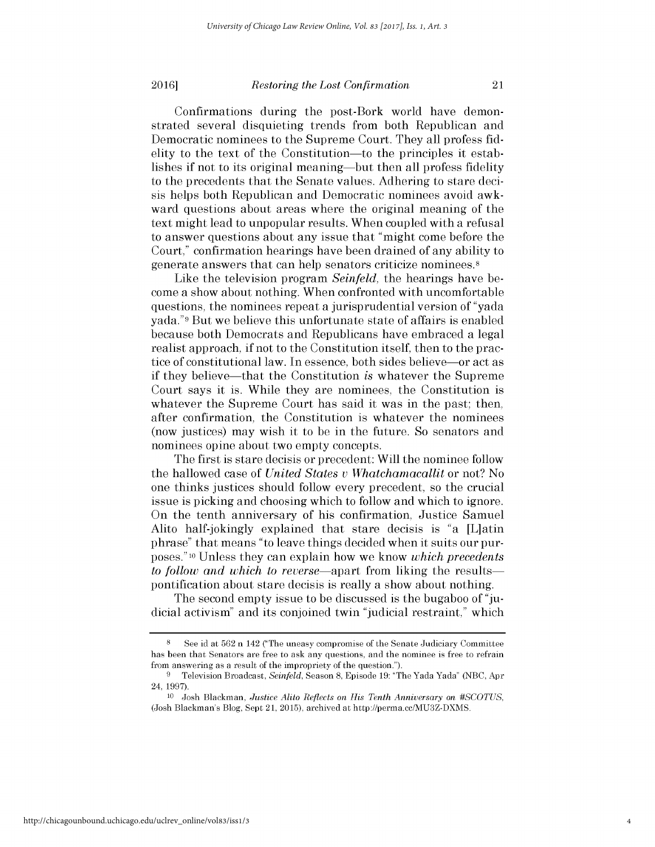#### **2016** *Restoring the Lost Confirmation* 21

Confirmations during the post-Bork world have demonstrated several disquieting trends from both Republican and Democratic nominees to the Supreme Court. They all profess **fid**elity to the text of the Constitution-to the principles it establishes **if** not to its original meaning-but then all profess fidelity to the precedents that the Senate values. Adhering to stare decisis helps both Republican and Democratic nominees avoid awkward questions about areas where the original meaning of the text might lead to unpopular results. When coupled with a refusal to answer questions about any issue that "might come before the Court," confirmation hearings have been drained of any ability to generate answers that can help senators criticize nominees.8

Like the television program *Seinfeld*, the hearings have become a show about nothing. When confronted with uncomfortable questions, the nominees repeat a jurisprudential version of "yada yada."9 But we believe this unfortunate state of affairs is enabled because both Democrats and Republicans have embraced a legal realist approach, **if** not to the Constitution itself, then to the practice of constitutional law. In essence, both sides believe-or act as if they believe-that the Constitution *is* whatever the Supreme Court says it is. While they are nominees, the Constitution **is** whatever the Supreme Court has said it was in the past; then, after confirmation, the Constitution is whatever the nominees (now justices) may wish it to be in the future. So senators and nominees opine about two empty concepts.

The first is stare decisis or precedent: Will the nominee follow the hallowed case of *United States v Whatchamacallit* or not? No one thinks justices should follow every precedent, so the crucial issue is picking and choosing which to follow and which to ignore. On the tenth anniversary of his confirmation, Justice Samuel Alito half-jokingly explained that stare decisis is "a [L]atin phrase" that means "to leave things decided when it suits our purposes." **10** Unless they can explain how we know *which precedents to follow and which to reverse*—apart from liking the results pontification about stare decisis is really a show about nothing.

The second empty issue to be discussed is the bugaboo of **"ju**dicial activism" and its conjoined twin "judicial restraint," which

**<sup>8</sup>**See id at **562** n 142 ("The uneasy compromise of the Senate Judiciary Committee has been that Senators are free to ask any questions, and the nominee is free to refrain from answering as a result of the impropriety of the question.").

**<sup>9</sup>**Television Broadcast, *Seinfeld,* Season **8,** Episode **19:** "The Yada Yada" **(NBC,** Apr 24, **1997).**

**<sup>10</sup>**Josh Blackman, *Justice Alito Reflects on His Tenth Anniversary on #SCOTUS,* (Josh Blackman's Blog, Sept 21, **2015),** archived at http://perma.cc/MU3Z-DXMS.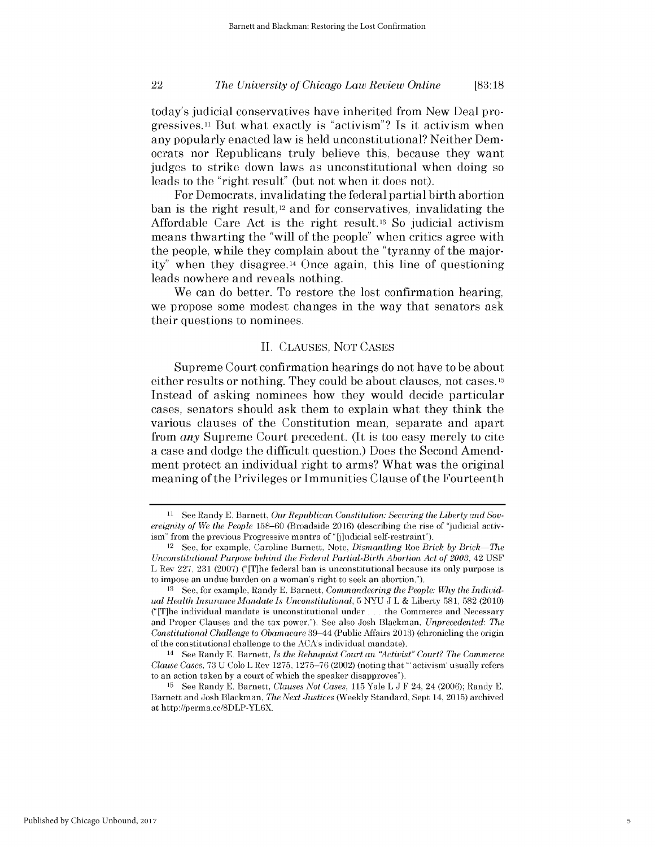# *The University of Chicago Law Review Online* 22 **[83:18**

today's judicial conservatives have inherited from New Deal progressives.11 But what exactly is "activism"? Is it activism when any popularly enacted law is held unconstitutional? Neither Democrats nor Republicans truly believe this, because they want judges to strike down laws as unconstitutional when doing so leads to the "right result" (but not when it does not).

For Democrats, invalidating the federal partial birth abortion ban is the right result, 12 and for conservatives, invalidating the Affordable Care Act is the right result.13 So judicial activism means thwarting the "will of the people" when critics agree with the people, while they complain about the "tyranny of the majority" when they disagree.14 Once again, this line of questioning leads nowhere and reveals nothing.

We can do better. To restore the lost confirmation hearing, we propose some modest changes in the way that senators ask their questions to nominees.

#### **II.** CLAUSES, **NOT CASES**

Supreme Court confirmation hearings do not have to be about either results or nothing. They could be about clauses, not cases.<sup>15</sup> Instead of asking nominees how they would decide particular cases, senators should ask them to explain what they think the various clauses of the Constitution mean, separate and apart from *any* Supreme Court precedent. (It is too easy merely to cite a case and dodge the difficult question.) Does the Second Amendment protect an individual right to arms? What was the original meaning of the Privileges or Immunities Clause of the Fourteenth

**<sup>11</sup>** See Randy **E.** Barnett, *Our Republican Constitution: Securing the Liberty and Sovereignity of We the People* **158-60** (Broadside 2016) (describing the rise of "judicial activism" from the previous Progressive mantra of "[j]udicial self-restraint").

<sup>12</sup>See, for example, Caroline Burnett, Note, *Dismantling Roe Brick by Brick-The Unconstitutional Purpose behind the Federal Partial-Birth Abortion Act of 2003, 42 USF* L Rev **227, 231 (2007)** ("[T]he federal ban is unconstitutional because its only purpose is to impose an undue burden on a woman's right to seek an abortion.").

**<sup>13</sup> See,** for example, Randy **E.** Barnett, *Commandeering the People: Why the Individual Health Insurance Mandate Is Unconstitutional,* **5 NYU J** L **&** Liberty **581, 582** (2010) ("[T]he individual mandate is unconstitutional under **...** the Commerce and Necessary and Proper Clauses and the tax power."). **See** also Josh Blackman, *Unprecedented: The Constitutional Challenge to Obamacare* 39-44 (Public Affairs **2013)** (chronicling the origin of the constitutional challenge to the ACA's individual mandate).

<sup>14</sup>See Randy **E.** Barnett, *Is the Rehnquist Court an "Activist" Court? The Commerce Clause Cases,* **73 U** Colo L Rev **1275, 1275-76** (2002) (noting that "'activism' usually refers to an action taken **by** a court of which the speaker disapproves").

**<sup>15</sup>**See Randy **E.** Barnett, *Clauses Not Cases,* **115** Yale L **J** F 24, 24 (2006); Randy **E.** Barnett and Josh Blackman, *The Next Justices* **(Weekly** Standard, Sept 14, **2015)** archived at http://perma.cc/8DLP-YL6X.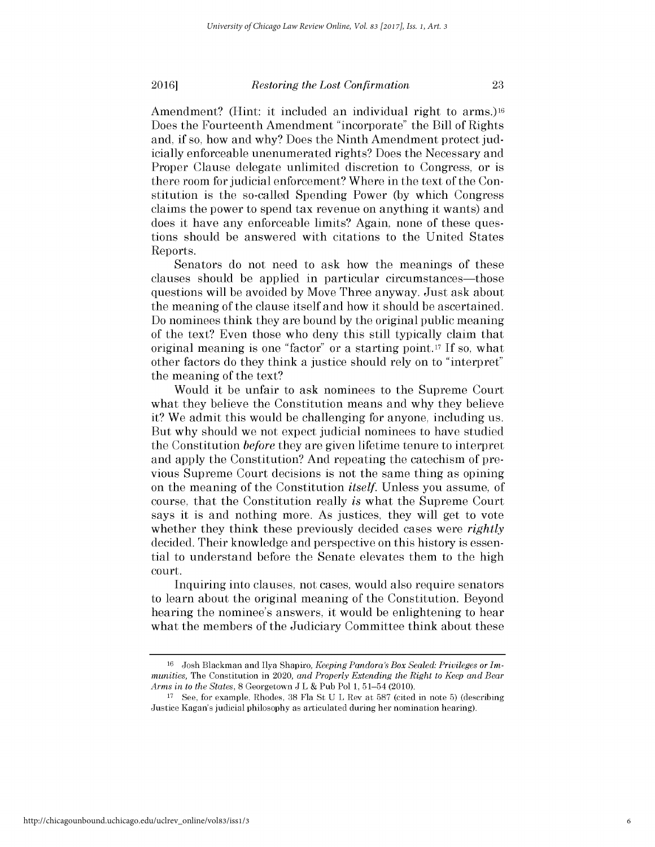#### **2016 2016** *Restoring the Lost Confirmation*

Amendment? (Hint: it included an individual right to arms.)<sup>16</sup> Does the Fourteenth Amendment "incorporate" the Bill of Rights and, **if** so, how and why? Does the Ninth Amendment protect judicially enforceable unenumerated rights? Does the Necessary and Proper Clause delegate unlimited discretion to Congress, or **is** there room for judicial enforcement? Where in the text of the Constitution is the so-called Spending Power **(by** which Congress claims the power to spend tax revenue on anything it wants) and does it have any enforceable limits? Again, none of these questions should be answered with citations to the United States Reports.

Senators do not need to ask how the meanings of these clauses should be applied in particular circumstances—those questions will be avoided **by** Move Three anyway. Just ask about the meaning of the clause itself and how it should be ascertained. Do nominees think they are bound **by** the original public meaning of the text? Even those who deny this still typically claim that original meaning is one "factor" or a starting point.17 **If So,** what other factors do they think a justice should rely on to "interpret" the meaning of the text?

Would it be unfair to ask nominees to the Supreme Court what they believe the Constitution means and why they believe it? We admit this would be challenging for anyone, including us. But why should we not expect judicial nominees to have studied the Constitution *before* they are given lifetime tenure to interpret and apply the Constitution? And repeating the catechism of previous Supreme Court decisions is not the same thing as opining on the meaning of the Constitution *itself.* Unless you assume, of course, that the Constitution really *is* what the Supreme Court says it is and nothing more. As justices, they will get to vote whether they think these previously decided cases were *rightly* decided. Their knowledge and perspective on this history is essential to understand before the Senate elevates them to the **high** court.

Inquiring into clauses, not cases, would also require senators to learn about the original meaning of the Constitution. Beyond hearing the nominee's answers, it would be enlightening to hear what the members of the Judiciary Committee think about these

**<sup>16</sup>** Josh Blackman and Ilya Shapiro, *Keeping Pandora's Box Sealed: Privileges or Immunities,* The Constitution in 2020, *and Properly Extending the Right to Keep and Bear Arms in to the States,* **8** Georgetown **J** L **&** Pub Pol **1,** 51-54 (2010).

**<sup>17</sup>See,** for example, Rhodes, **38** Fla St **U** L Rev at **587** (cited in note **5)** (describing Justice Kagan's judicial philosophy as articulated during her nomination hearing).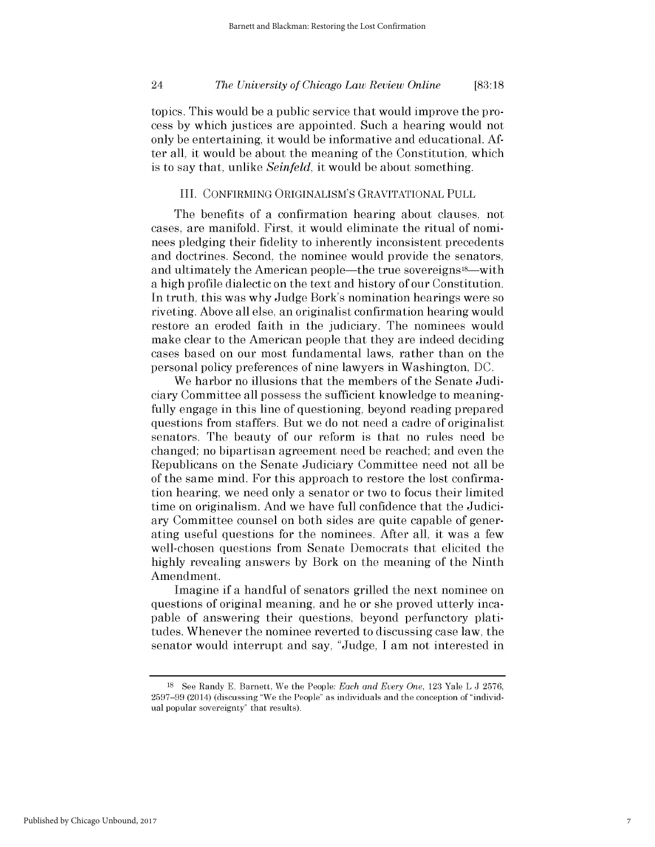# *The University of Chicago Law Review Online* 24 **[83:18**

topics. This would be a public service that would improve the process **by** which justices are appointed. Such a hearing would not only be entertaining, it would be informative and educational. **Af**ter all, it would be about the meaning of the Constitution, which is to say that, unlike *Seinfeld,* it would be about something.

# III. **CONFIRMING ORIGINALISM'S** GRAVITATIONAL **PULL**

The benefits of a confirmation hearing about clauses, not cases, are manifold. First, it would eliminate the ritual of nominees pledging their fidelity to inherently inconsistent precedents and doctrines. Second, the nominee would provide the senators, and ultimately the American people—the true sovereigns<sup>18</sup>—with a **high** profile dialectic on the text and history of our Constitution. In truth, this was why Judge Bork's nomination hearings were so riveting. Above all else, an originalist confirmation hearing would restore an eroded faith in the judiciary. The nominees would make clear to the American people that they are indeed deciding cases based on our most fundamental laws, rather than on the personal policy preferences of nine lawyers in Washington, **DC.**

We harbor no illusions that the members of the Senate Judiciary Committee all possess the sufficient knowledge to meaningfully engage in this line of questioning, beyond reading prepared questions from staffers. But we do not need a cadre of originalist senators. The beauty of our reform is that no rules need be changed; no bipartisan agreement need be reached; and even the Republicans on the Senate Judiciary Committee need not all be of the same mind. For this approach to restore the lost confirmation hearing, we need only a senator or two to focus their limited time on originalism. And we have full confidence that the Judiciary Committee counsel on both sides are quite capable of generating useful questions for the nominees. After all, it was a few well-chosen questions from Senate Democrats that elicited the **highly** revealing answers **by** Bork on the meaning of the Ninth Amendment.

Imagine **if** a handful of senators grilled the next nominee on questions of original meaning, and he or she proved utterly incapable of answering their questions, beyond perfunctory platitudes. Whenever the nominee reverted to discussing case law, the senator would interrupt and say, "Judge, **I** am not interested in

**<sup>18</sup>**See Randy **E.** Barnett, We the People: *Each and Every One,* **123** Yale L **J 2576, 2597-99** (2014) (discussing "We the People" as individuals and the conception of "individual popular sovereignty" that results).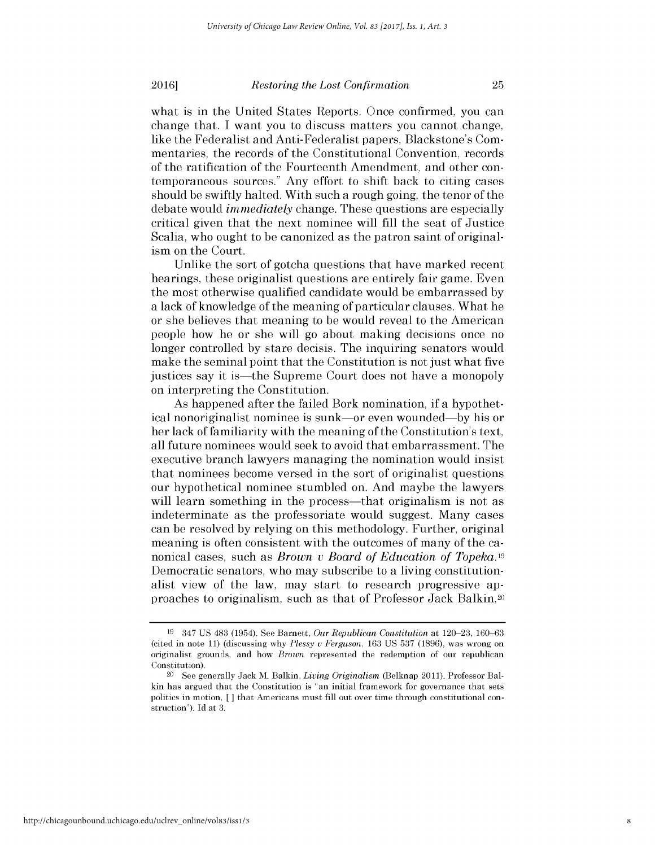ism on the Court.

#### **2016 2016** *Restoring the Lost Confirmation*

what is in the United States Reports. Once confirmed, you can change that. **I** want you to discuss matters you cannot change, like the Federalist and Anti-Federalist papers, Blackstone's Commentaries, the records of the Constitutional Convention, records of the ratification of the Fourteenth Amendment, and other contemporaneous sources." Any effort to shift back to citing cases should be swiftly halted. With such a rough going, the tenor of the debate would *immediately* change. These questions are especially critical given that the next nominee will **fill** the seat of Justice Scalia, who ought to be canonized as the patron saint of original-

Unlike the sort of gotcha questions that have marked recent hearings, these originalist questions are entirely fair game. Even the most otherwise qualified candidate would be embarrassed **by** a lack of knowledge of the meaning of particular clauses. What he or she believes that meaning to be would reveal to the American people how he or she will go about making decisions once no longer controlled **by** stare decisis. The inquiring senators would make the seminal point that the Constitution is not just what five justices say it is-the Supreme Court does not have a monopoly on interpreting the Constitution.

As happened after the failed Bork nomination, **if** a hypothetical nonoriginalist nominee is sunk-or even wounded-by his or her lack of familiarity with the meaning of the Constitution's text, all future nominees would seek to avoid that embarrassment. The executive branch lawyers managing the nomination would insist that nominees become versed in the sort of originalist questions our hypothetical nominee stumbled on. And maybe the lawyers will learn something in the process—that originalism is not as indeterminate as the professoriate would suggest. Many cases can be resolved **by** relying on this methodology. Further, original meaning is often consistent with the outcomes of many of the canonical cases, such as *Brown v Board of Education of Topeka.19* Democratic senators, who may subscribe to a living constitutionalist view of the law, may start to research progressive approaches to originalism, such as that of Professor Jack Balkin,20

**<sup>19</sup>**347 **US** 483 (1954). See Barnett, *Our Republican Constitution at* **120-23, 160-63** (cited in note **11)** (discussing why *Plessy v Ferguson,* **163 US 537 (1896),** was wrong on originalist grounds, and how *Brown* represented the redemption of our republican Constitution).

<sup>20</sup> See generally Jack M. Balkin, *Living Originalism* (Belknap 2011). Professor Balkin has argued that the Constitution is "an initial framework for governance that sets politics in motion, *[ ]* that Americans must **fill** out over time through constitutional construction"). **Id** at **3.**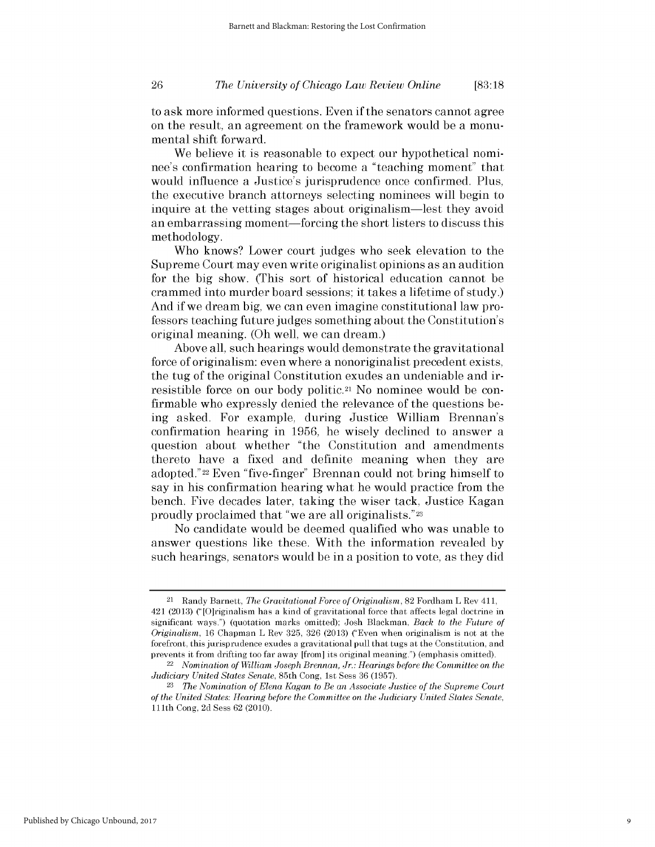# *The University of Chicago Law Review Online* **26 [83:18**

*to* ask more informed questions. Even **if** the senators cannot agree on the result, an agreement on the framework would be a monumental shift forward.

We believe it is reasonable to expect our hypothetical nominee's confirmation hearing to become a "teaching moment" that would influence a Justice's jurisprudence once confirmed. Plus, the executive branch attorneys selecting nominees will begin to inquire at the vetting stages about originalism-lest they avoid an embarrassing moment—forcing the short listers to discuss this methodology.

Who knows? Lower court judges who seek elevation to the Supreme Court may even write originalist opinions as an audition for the **big** show. (This sort of historical education cannot be crammed into murder board sessions; it takes a lifetime of study.) And **if** we dream big, we can even imagine constitutional law professors teaching future judges something about the Constitution's original meaning. (Oh well, we can dream.)

Above all, such hearings would demonstrate the gravitational force of originalism: even where a nonoriginalist precedent exists, the tug of the original Constitution exudes an undeniable and irresistible force on our body politic.21 No nominee would be confirmable who expressly denied the relevance of the questions being asked. For example, during Justice William Brennan's confirmation hearing in **1956,** he wisely declined to answer a question about whether "the Constitution and amendments thereto have a fixed and definite meaning when they are adopted."22 Even "five-finger" Brennan could not bring himself to say in his confirmation hearing what he would practice from the bench. Five decades later, taking the wiser tack, Justice Kagan proudly proclaimed that "we are all originalists."23

No candidate would be deemed qualified who was unable to answer questions like these. With the information revealed **by** such hearings, senators would be in a position to vote, as they **did**

<sup>21</sup>Randy Barnett, *The Gravitational Force of Originalism,* **82** Fordham L Rev **411,** 421 **(2013)** ("[O]riginalism has a kind of gravitational force that affects legal doctrine in significant ways.") (quotation marks omitted); Josh Blackman, *Back to the Future of Originalism,* 16 Chapman L Rev **325,** 326 **(2013)** ("Even when originalism is not at the forefront, this jurisprudence exudes a gravitational pull that tugs at the Constitution, and prevents it from drifting too far away [from] its original meaning.") (emphasis omitted).

<sup>22</sup>*Nomination of William Joseph Brennan, Jr.: Hearings before the Committee on the Judiciary United States Senate,* 85th Cong, 1st Sess **36 (1957).**

**<sup>23</sup>***The Nomination of Elena Kagan to Be an Associate Justice of the Supreme Court of the United States: Hearing before the Committee on the Judiciary United States Senate,* 111th Cong, **2d** Sess 62 (2010).